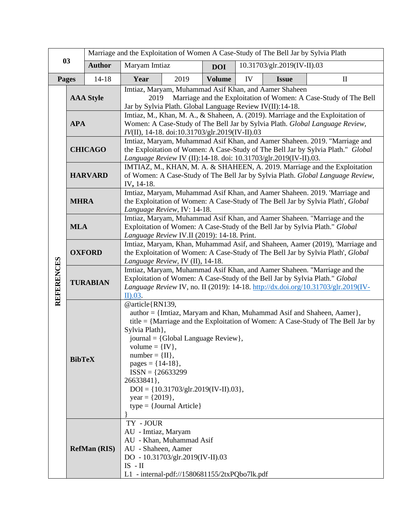| 03                |                                                                                                                                                                                                                | Marriage and the Exploitation of Women A Case-Study of The Bell Jar by Sylvia Plath |                                                                                                                                                                                                                                                                                                                                                                                                                                                   |      |               |    |                             |              |  |
|-------------------|----------------------------------------------------------------------------------------------------------------------------------------------------------------------------------------------------------------|-------------------------------------------------------------------------------------|---------------------------------------------------------------------------------------------------------------------------------------------------------------------------------------------------------------------------------------------------------------------------------------------------------------------------------------------------------------------------------------------------------------------------------------------------|------|---------------|----|-----------------------------|--------------|--|
|                   |                                                                                                                                                                                                                | <b>Author</b>                                                                       | Maryam Imtiaz                                                                                                                                                                                                                                                                                                                                                                                                                                     |      | <b>DOI</b>    |    | 10.31703/glr.2019(IV-II).03 |              |  |
| <b>Pages</b>      |                                                                                                                                                                                                                | $14 - 18$                                                                           | Year                                                                                                                                                                                                                                                                                                                                                                                                                                              | 2019 | <b>Volume</b> | IV | <b>Issue</b>                | $\mathbf{I}$ |  |
|                   | <b>AAA Style</b>                                                                                                                                                                                               |                                                                                     | Imtiaz, Maryam, Muhammad Asif Khan, and Aamer Shaheen<br>Marriage and the Exploitation of Women: A Case-Study of The Bell<br>2019<br>Jar by Sylvia Plath. Global Language Review IV(II):14-18.                                                                                                                                                                                                                                                    |      |               |    |                             |              |  |
|                   | <b>APA</b>                                                                                                                                                                                                     |                                                                                     | Imtiaz, M., Khan, M. A., & Shaheen, A. (2019). Marriage and the Exploitation of<br>Women: A Case-Study of The Bell Jar by Sylvia Plath. Global Language Review,<br>IV(II), 14-18. doi:10.31703/glr.2019(IV-II).03                                                                                                                                                                                                                                 |      |               |    |                             |              |  |
|                   |                                                                                                                                                                                                                | <b>CHICAGO</b>                                                                      | Imtiaz, Maryam, Muhammad Asif Khan, and Aamer Shaheen. 2019. "Marriage and<br>the Exploitation of Women: A Case-Study of The Bell Jar by Sylvia Plath." Global<br>Language Review IV (II):14-18. doi: 10.31703/glr.2019(IV-II).03.                                                                                                                                                                                                                |      |               |    |                             |              |  |
|                   | <b>HARVARD</b>                                                                                                                                                                                                 |                                                                                     | IMTIAZ, M., KHAN, M. A. & SHAHEEN, A. 2019. Marriage and the Exploitation<br>of Women: A Case-Study of The Bell Jar by Sylvia Plath. Global Language Review,<br>IV, 14-18.                                                                                                                                                                                                                                                                        |      |               |    |                             |              |  |
| <b>REFERENCES</b> | <b>MHRA</b>                                                                                                                                                                                                    |                                                                                     | Imtiaz, Maryam, Muhammad Asif Khan, and Aamer Shaheen. 2019. 'Marriage and<br>the Exploitation of Women: A Case-Study of The Bell Jar by Sylvia Plath', Global<br>Language Review, IV: 14-18.                                                                                                                                                                                                                                                     |      |               |    |                             |              |  |
|                   | <b>MLA</b>                                                                                                                                                                                                     |                                                                                     | Imtiaz, Maryam, Muhammad Asif Khan, and Aamer Shaheen. "Marriage and the<br>Exploitation of Women: A Case-Study of the Bell Jar by Sylvia Plath." Global<br>Language Review IV.II (2019): 14-18. Print.                                                                                                                                                                                                                                           |      |               |    |                             |              |  |
|                   | <b>OXFORD</b>                                                                                                                                                                                                  |                                                                                     | Imtiaz, Maryam, Khan, Muhammad Asif, and Shaheen, Aamer (2019), 'Marriage and<br>the Exploitation of Women: A Case-Study of The Bell Jar by Sylvia Plath', Global<br>Language Review, IV (II), 14-18.                                                                                                                                                                                                                                             |      |               |    |                             |              |  |
|                   | <b>TURABIAN</b>                                                                                                                                                                                                |                                                                                     | Imtiaz, Maryam, Muhammad Asif Khan, and Aamer Shaheen. "Marriage and the<br>Exploitation of Women: A Case-Study of the Bell Jar by Sylvia Plath." Global<br>Language Review IV, no. II (2019): 14-18. http://dx.doi.org/10.31703/glr.2019(IV-<br>$II$ ).03.                                                                                                                                                                                       |      |               |    |                             |              |  |
|                   | <b>BibTeX</b>                                                                                                                                                                                                  |                                                                                     | @article{RN139,<br>author = {Imtiaz, Maryam and Khan, Muhammad Asif and Shaheen, Aamer},<br>title = {Marriage and the Exploitation of Women: A Case-Study of The Bell Jar by<br>Sylvia Plath},<br>journal = {Global Language Review},<br>volume = $\{IV\},\$<br>$number = \{II\},\$<br>pages = ${14-18}$ ,<br>$ISSN = {26633299}$<br>26633841},<br>$DOI = \{10.31703/glr.2019(IV-II).03\},\$<br>year = $\{2019\},\$<br>$type = {Journal Article}$ |      |               |    |                             |              |  |
|                   | TY - JOUR<br>AU - Imtiaz, Maryam<br>AU - Khan, Muhammad Asif<br><b>RefMan (RIS)</b><br>AU - Shaheen, Aamer<br>DO - 10.31703/glr.2019(IV-II).03<br>$IS$ - $II$<br>L1 - internal-pdf://1580681155/2txPQbo7lk.pdf |                                                                                     |                                                                                                                                                                                                                                                                                                                                                                                                                                                   |      |               |    |                             |              |  |